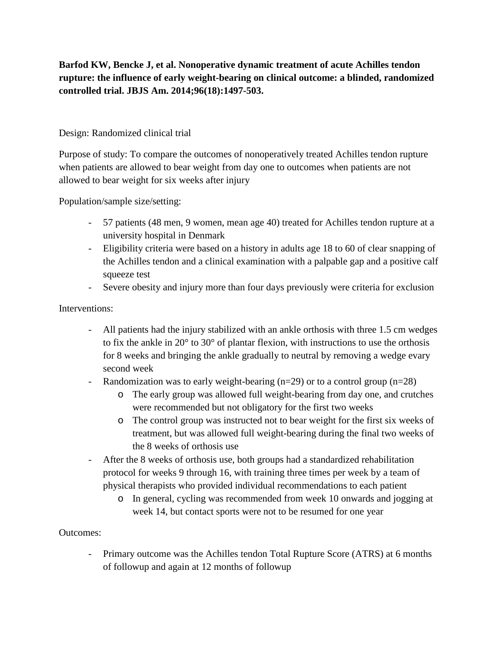**Barfod KW, Bencke J, et al. Nonoperative dynamic treatment of acute Achilles tendon rupture: the influence of early weight-bearing on clinical outcome: a blinded, randomized controlled trial. JBJS Am. 2014;96(18):1497-503.**

## Design: Randomized clinical trial

Purpose of study: To compare the outcomes of nonoperatively treated Achilles tendon rupture when patients are allowed to bear weight from day one to outcomes when patients are not allowed to bear weight for six weeks after injury

Population/sample size/setting:

- 57 patients (48 men, 9 women, mean age 40) treated for Achilles tendon rupture at a university hospital in Denmark
- Eligibility criteria were based on a history in adults age 18 to 60 of clear snapping of the Achilles tendon and a clinical examination with a palpable gap and a positive calf squeeze test
- Severe obesity and injury more than four days previously were criteria for exclusion

## Interventions:

- All patients had the injury stabilized with an ankle orthosis with three 1.5 cm wedges to fix the ankle in 20° to 30° of plantar flexion, with instructions to use the orthosis for 8 weeks and bringing the ankle gradually to neutral by removing a wedge evary second week
- Randomization was to early weight-bearing (n=29) or to a control group (n=28)
	- o The early group was allowed full weight-bearing from day one, and crutches were recommended but not obligatory for the first two weeks
	- o The control group was instructed not to bear weight for the first six weeks of treatment, but was allowed full weight-bearing during the final two weeks of the 8 weeks of orthosis use
- After the 8 weeks of orthosis use, both groups had a standardized rehabilitation protocol for weeks 9 through 16, with training three times per week by a team of physical therapists who provided individual recommendations to each patient
	- o In general, cycling was recommended from week 10 onwards and jogging at week 14, but contact sports were not to be resumed for one year

## Outcomes:

- Primary outcome was the Achilles tendon Total Rupture Score (ATRS) at 6 months of followup and again at 12 months of followup